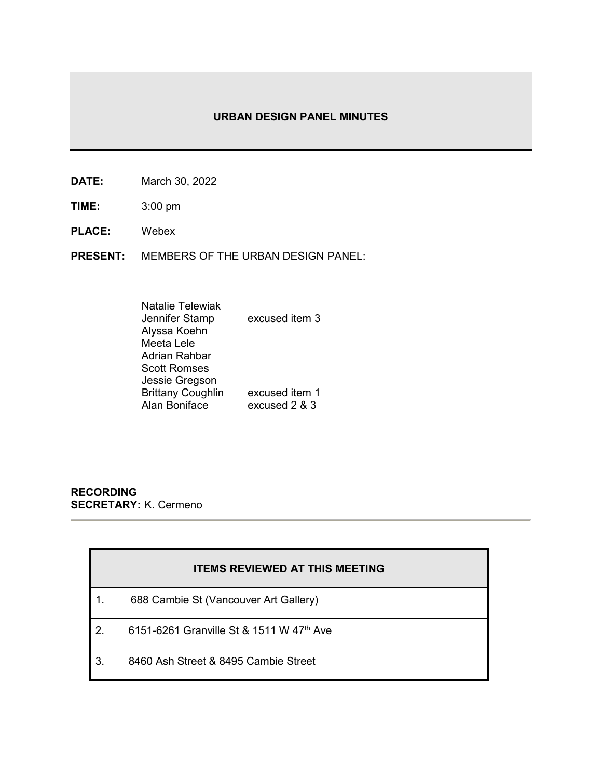# **URBAN DESIGN PANEL MINUTES**

- **DATE:** March 30, 2022
- **TIME:** 3:00 pm
- **PLACE:** Webex
- **PRESENT:** MEMBERS OF THE URBAN DESIGN PANEL:

| <b>Natalie Telewiak</b>  |                |
|--------------------------|----------------|
| Jennifer Stamp           | excused item 3 |
| Alyssa Koehn             |                |
| Meeta Lele               |                |
| <b>Adrian Rahbar</b>     |                |
| <b>Scott Romses</b>      |                |
| Jessie Gregson           |                |
| <b>Brittany Coughlin</b> | excused item 1 |
| Alan Boniface            | excused 2 & 3  |

**RECORDING SECRETARY:** K. Cermeno

|     | <b>ITEMS REVIEWED AT THIS MEETING</b>                |
|-----|------------------------------------------------------|
|     | 688 Cambie St (Vancouver Art Gallery)                |
| l 2 | 6151-6261 Granville St & 1511 W 47 <sup>th</sup> Ave |
| l 3 | 8460 Ash Street & 8495 Cambie Street                 |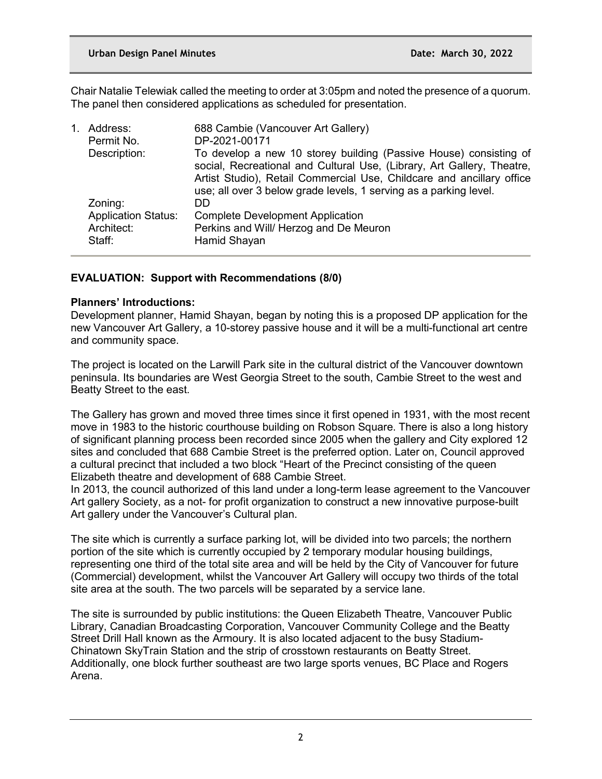Chair Natalie Telewiak called the meeting to order at 3:05pm and noted the presence of a quorum. The panel then considered applications as scheduled for presentation.

| Address:                   | 688 Cambie (Vancouver Art Gallery)<br>DP-2021-00171                                                                                                                                                                                                                                       |
|----------------------------|-------------------------------------------------------------------------------------------------------------------------------------------------------------------------------------------------------------------------------------------------------------------------------------------|
|                            |                                                                                                                                                                                                                                                                                           |
|                            | To develop a new 10 storey building (Passive House) consisting of<br>social, Recreational and Cultural Use, (Library, Art Gallery, Theatre,<br>Artist Studio), Retail Commercial Use, Childcare and ancillary office<br>use; all over 3 below grade levels, 1 serving as a parking level. |
| Zoning:                    | DD                                                                                                                                                                                                                                                                                        |
| <b>Application Status:</b> | <b>Complete Development Application</b>                                                                                                                                                                                                                                                   |
| Architect:<br>Staff:       | Perkins and Will/ Herzog and De Meuron<br>Hamid Shayan                                                                                                                                                                                                                                    |
|                            | 1.<br>Permit No.<br>Description:                                                                                                                                                                                                                                                          |

# **EVALUATION: Support with Recommendations (8/0)**

## **Planners' Introductions:**

Development planner, Hamid Shayan, began by noting this is a proposed DP application for the new Vancouver Art Gallery, a 10-storey passive house and it will be a multi-functional art centre and community space.

The project is located on the Larwill Park site in the cultural district of the Vancouver downtown peninsula. Its boundaries are West Georgia Street to the south, Cambie Street to the west and Beatty Street to the east.

The Gallery has grown and moved three times since it first opened in 1931, with the most recent move in 1983 to the historic courthouse building on Robson Square. There is also a long history of significant planning process been recorded since 2005 when the gallery and City explored 12 sites and concluded that 688 Cambie Street is the preferred option. Later on, Council approved a cultural precinct that included a two block "Heart of the Precinct consisting of the queen Elizabeth theatre and development of 688 Cambie Street.

In 2013, the council authorized of this land under a long-term lease agreement to the Vancouver Art gallery Society, as a not- for profit organization to construct a new innovative purpose-built Art gallery under the Vancouver's Cultural plan.

The site which is currently a surface parking lot, will be divided into two parcels; the northern portion of the site which is currently occupied by 2 temporary modular housing buildings, representing one third of the total site area and will be held by the City of Vancouver for future (Commercial) development, whilst the Vancouver Art Gallery will occupy two thirds of the total site area at the south. The two parcels will be separated by a service lane.

The site is surrounded by public institutions: the Queen Elizabeth Theatre, Vancouver Public Library, Canadian Broadcasting Corporation, Vancouver Community College and the Beatty Street Drill Hall known as the Armoury. It is also located adjacent to the busy Stadium-Chinatown SkyTrain Station and the strip of crosstown restaurants on Beatty Street. Additionally, one block further southeast are two large sports venues, BC Place and Rogers Arena.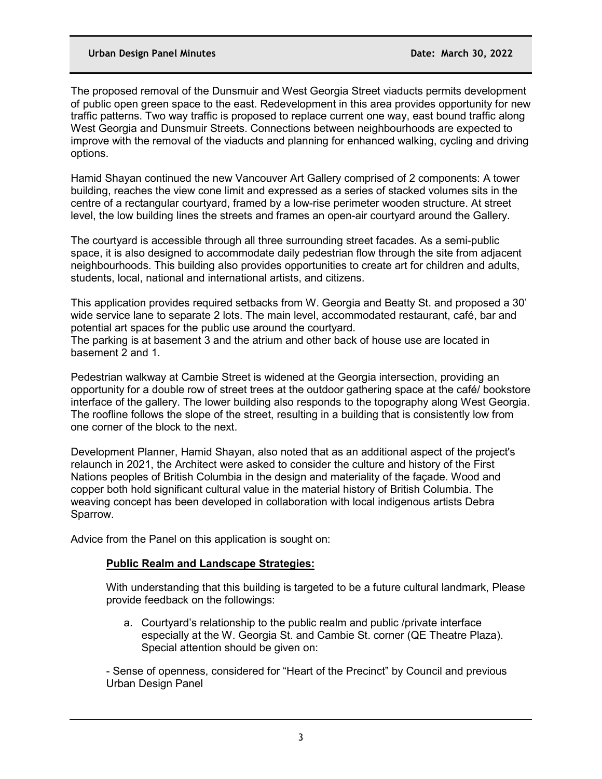The proposed removal of the Dunsmuir and West Georgia Street viaducts permits development of public open green space to the east. Redevelopment in this area provides opportunity for new traffic patterns. Two way traffic is proposed to replace current one way, east bound traffic along West Georgia and Dunsmuir Streets. Connections between neighbourhoods are expected to improve with the removal of the viaducts and planning for enhanced walking, cycling and driving options.

Hamid Shayan continued the new Vancouver Art Gallery comprised of 2 components: A tower building, reaches the view cone limit and expressed as a series of stacked volumes sits in the centre of a rectangular courtyard, framed by a low-rise perimeter wooden structure. At street level, the low building lines the streets and frames an open-air courtyard around the Gallery.

The courtyard is accessible through all three surrounding street facades. As a semi-public space, it is also designed to accommodate daily pedestrian flow through the site from adjacent neighbourhoods. This building also provides opportunities to create art for children and adults, students, local, national and international artists, and citizens.

This application provides required setbacks from W. Georgia and Beatty St. and proposed a 30' wide service lane to separate 2 lots. The main level, accommodated restaurant, café, bar and potential art spaces for the public use around the courtyard. The parking is at basement 3 and the atrium and other back of house use are located in basement 2 and 1.

Pedestrian walkway at Cambie Street is widened at the Georgia intersection, providing an opportunity for a double row of street trees at the outdoor gathering space at the café/ bookstore interface of the gallery. The lower building also responds to the topography along West Georgia. The roofline follows the slope of the street, resulting in a building that is consistently low from one corner of the block to the next.

Development Planner, Hamid Shayan, also noted that as an additional aspect of the project's relaunch in 2021, the Architect were asked to consider the culture and history of the First Nations peoples of British Columbia in the design and materiality of the façade. Wood and copper both hold significant cultural value in the material history of British Columbia. The weaving concept has been developed in collaboration with local indigenous artists Debra Sparrow.

Advice from the Panel on this application is sought on:

# **Public Realm and Landscape Strategies:**

With understanding that this building is targeted to be a future cultural landmark, Please provide feedback on the followings:

a. Courtyard's relationship to the public realm and public /private interface especially at the W. Georgia St. and Cambie St. corner (QE Theatre Plaza). Special attention should be given on:

- Sense of openness, considered for "Heart of the Precinct" by Council and previous Urban Design Panel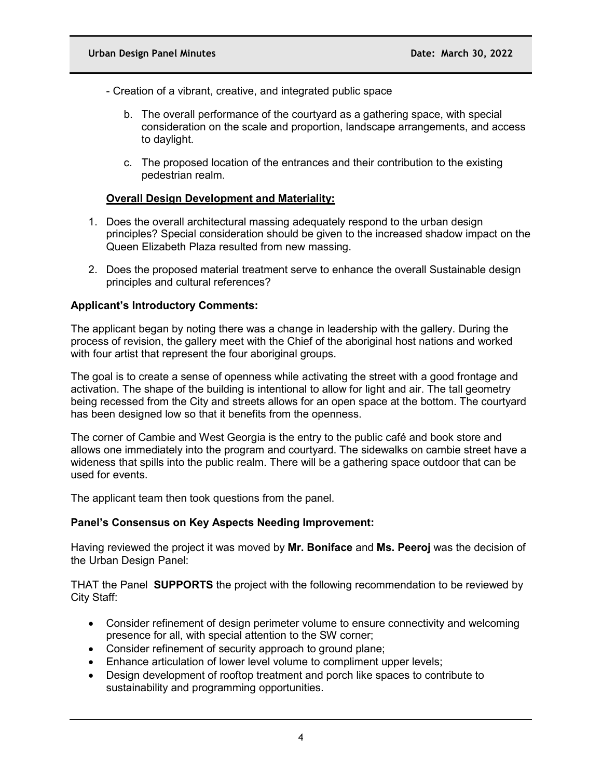- Creation of a vibrant, creative, and integrated public space

- b. The overall performance of the courtyard as a gathering space, with special consideration on the scale and proportion, landscape arrangements, and access to daylight.
- c. The proposed location of the entrances and their contribution to the existing pedestrian realm.

### **Overall Design Development and Materiality:**

- 1. Does the overall architectural massing adequately respond to the urban design principles? Special consideration should be given to the increased shadow impact on the Queen Elizabeth Plaza resulted from new massing.
- 2. Does the proposed material treatment serve to enhance the overall Sustainable design principles and cultural references?

#### **Applicant's Introductory Comments:**

The applicant began by noting there was a change in leadership with the gallery. During the process of revision, the gallery meet with the Chief of the aboriginal host nations and worked with four artist that represent the four aboriginal groups.

The goal is to create a sense of openness while activating the street with a good frontage and activation. The shape of the building is intentional to allow for light and air. The tall geometry being recessed from the City and streets allows for an open space at the bottom. The courtyard has been designed low so that it benefits from the openness.

The corner of Cambie and West Georgia is the entry to the public café and book store and allows one immediately into the program and courtyard. The sidewalks on cambie street have a wideness that spills into the public realm. There will be a gathering space outdoor that can be used for events.

The applicant team then took questions from the panel.

#### **Panel's Consensus on Key Aspects Needing Improvement:**

Having reviewed the project it was moved by **Mr. Boniface** and **Ms. Peeroj** was the decision of the Urban Design Panel:

THAT the Panel **SUPPORTS** the project with the following recommendation to be reviewed by City Staff:

- Consider refinement of design perimeter volume to ensure connectivity and welcoming presence for all, with special attention to the SW corner;
- Consider refinement of security approach to ground plane;
- Enhance articulation of lower level volume to compliment upper levels;
- Design development of rooftop treatment and porch like spaces to contribute to sustainability and programming opportunities.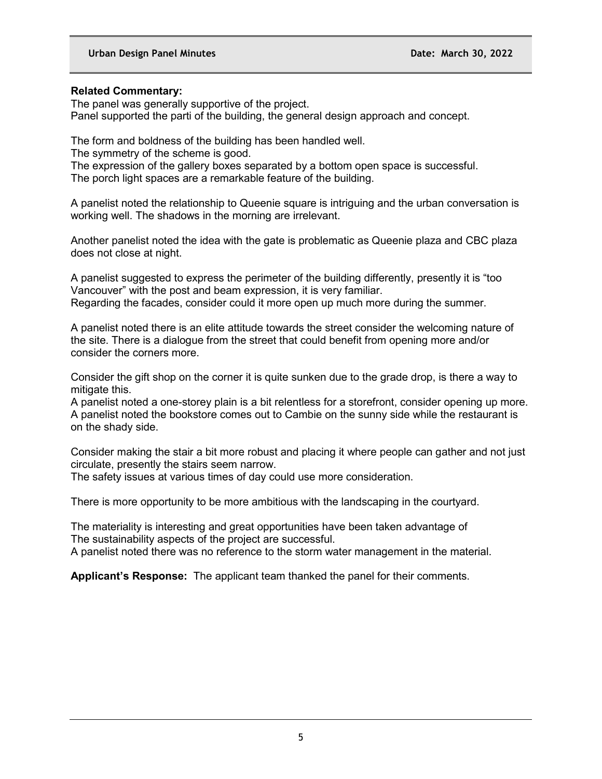## **Related Commentary:**

The panel was generally supportive of the project. Panel supported the parti of the building, the general design approach and concept.

The form and boldness of the building has been handled well.

The symmetry of the scheme is good.

The expression of the gallery boxes separated by a bottom open space is successful. The porch light spaces are a remarkable feature of the building.

A panelist noted the relationship to Queenie square is intriguing and the urban conversation is working well. The shadows in the morning are irrelevant.

Another panelist noted the idea with the gate is problematic as Queenie plaza and CBC plaza does not close at night.

A panelist suggested to express the perimeter of the building differently, presently it is "too Vancouver" with the post and beam expression, it is very familiar. Regarding the facades, consider could it more open up much more during the summer.

A panelist noted there is an elite attitude towards the street consider the welcoming nature of the site. There is a dialogue from the street that could benefit from opening more and/or consider the corners more.

Consider the gift shop on the corner it is quite sunken due to the grade drop, is there a way to mitigate this.

A panelist noted a one-storey plain is a bit relentless for a storefront, consider opening up more. A panelist noted the bookstore comes out to Cambie on the sunny side while the restaurant is on the shady side.

Consider making the stair a bit more robust and placing it where people can gather and not just circulate, presently the stairs seem narrow.

The safety issues at various times of day could use more consideration.

There is more opportunity to be more ambitious with the landscaping in the courtyard.

The materiality is interesting and great opportunities have been taken advantage of The sustainability aspects of the project are successful.

A panelist noted there was no reference to the storm water management in the material.

**Applicant's Response:** The applicant team thanked the panel for their comments.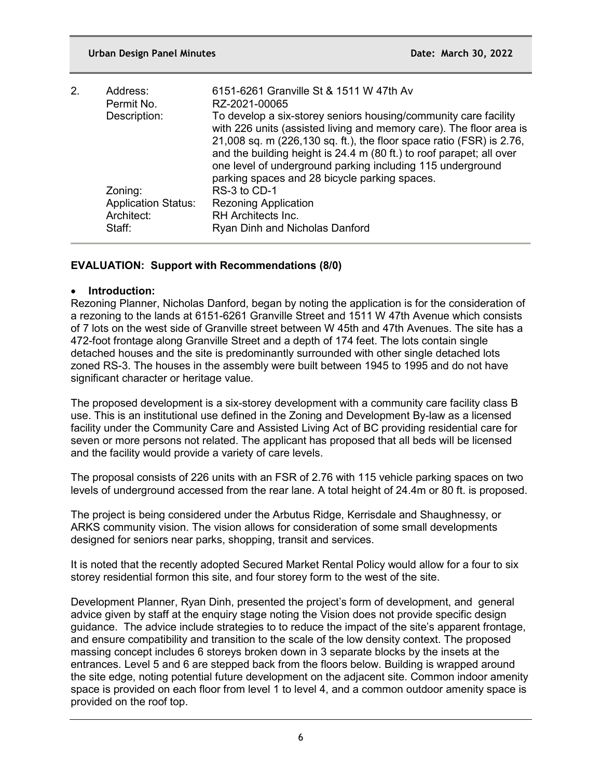| 2. | Address:<br>Permit No.                                        | 6151-6261 Granville St & 1511 W 47th Av<br>RZ-2021-00065                                                                                                                                                                                                                                                                                                                                              |
|----|---------------------------------------------------------------|-------------------------------------------------------------------------------------------------------------------------------------------------------------------------------------------------------------------------------------------------------------------------------------------------------------------------------------------------------------------------------------------------------|
|    | Description:                                                  | To develop a six-storey seniors housing/community care facility<br>with 226 units (assisted living and memory care). The floor area is<br>21,008 sq. m (226,130 sq. ft.), the floor space ratio (FSR) is 2.76,<br>and the building height is 24.4 m (80 ft.) to roof parapet; all over<br>one level of underground parking including 115 underground<br>parking spaces and 28 bicycle parking spaces. |
|    | Zoning:<br><b>Application Status:</b><br>Architect:<br>Staff: | RS-3 to CD-1<br><b>Rezoning Application</b><br><b>RH</b> Architects Inc.<br>Ryan Dinh and Nicholas Danford                                                                                                                                                                                                                                                                                            |

# **EVALUATION: Support with Recommendations (8/0)**

## • **Introduction:**

Rezoning Planner, Nicholas Danford, began by noting the application is for the consideration of a rezoning to the lands at 6151-6261 Granville Street and 1511 W 47th Avenue which consists of 7 lots on the west side of Granville street between W 45th and 47th Avenues. The site has a 472-foot frontage along Granville Street and a depth of 174 feet. The lots contain single detached houses and the site is predominantly surrounded with other single detached lots zoned RS-3. The houses in the assembly were built between 1945 to 1995 and do not have significant character or heritage value.

The proposed development is a six-storey development with a community care facility class B use. This is an institutional use defined in the Zoning and Development By-law as a licensed facility under the Community Care and Assisted Living Act of BC providing residential care for seven or more persons not related. The applicant has proposed that all beds will be licensed and the facility would provide a variety of care levels.

The proposal consists of 226 units with an FSR of 2.76 with 115 vehicle parking spaces on two levels of underground accessed from the rear lane. A total height of 24.4m or 80 ft. is proposed.

The project is being considered under the Arbutus Ridge, Kerrisdale and Shaughnessy, or ARKS community vision. The vision allows for consideration of some small developments designed for seniors near parks, shopping, transit and services.

It is noted that the recently adopted Secured Market Rental Policy would allow for a four to six storey residential formon this site, and four storey form to the west of the site.

Development Planner, Ryan Dinh, presented the project's form of development, and general advice given by staff at the enquiry stage noting the Vision does not provide specific design guidance. The advice include strategies to to reduce the impact of the site's apparent frontage, and ensure compatibility and transition to the scale of the low density context. The proposed massing concept includes 6 storeys broken down in 3 separate blocks by the insets at the entrances. Level 5 and 6 are stepped back from the floors below. Building is wrapped around the site edge, noting potential future development on the adjacent site. Common indoor amenity space is provided on each floor from level 1 to level 4, and a common outdoor amenity space is provided on the roof top.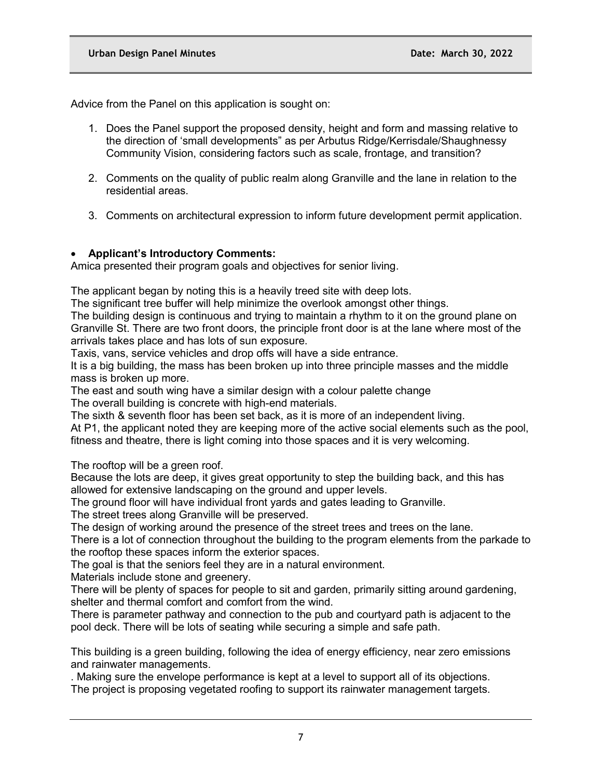Advice from the Panel on this application is sought on:

- 1. Does the Panel support the proposed density, height and form and massing relative to the direction of 'small developments" as per Arbutus Ridge/Kerrisdale/Shaughnessy Community Vision, considering factors such as scale, frontage, and transition?
- 2. Comments on the quality of public realm along Granville and the lane in relation to the residential areas.
- 3. Comments on architectural expression to inform future development permit application.

# • **Applicant's Introductory Comments:**

Amica presented their program goals and objectives for senior living.

The applicant began by noting this is a heavily treed site with deep lots.

The significant tree buffer will help minimize the overlook amongst other things.

The building design is continuous and trying to maintain a rhythm to it on the ground plane on Granville St. There are two front doors, the principle front door is at the lane where most of the arrivals takes place and has lots of sun exposure.

Taxis, vans, service vehicles and drop offs will have a side entrance.

It is a big building, the mass has been broken up into three principle masses and the middle mass is broken up more.

The east and south wing have a similar design with a colour palette change

The overall building is concrete with high-end materials.

The sixth & seventh floor has been set back, as it is more of an independent living.

At P1, the applicant noted they are keeping more of the active social elements such as the pool, fitness and theatre, there is light coming into those spaces and it is very welcoming.

The rooftop will be a green roof.

Because the lots are deep, it gives great opportunity to step the building back, and this has allowed for extensive landscaping on the ground and upper levels.

The ground floor will have individual front yards and gates leading to Granville.

The street trees along Granville will be preserved.

The design of working around the presence of the street trees and trees on the lane.

There is a lot of connection throughout the building to the program elements from the parkade to the rooftop these spaces inform the exterior spaces.

The goal is that the seniors feel they are in a natural environment.

Materials include stone and greenery.

There will be plenty of spaces for people to sit and garden, primarily sitting around gardening, shelter and thermal comfort and comfort from the wind.

There is parameter pathway and connection to the pub and courtyard path is adjacent to the pool deck. There will be lots of seating while securing a simple and safe path.

This building is a green building, following the idea of energy efficiency, near zero emissions and rainwater managements.

. Making sure the envelope performance is kept at a level to support all of its objections. The project is proposing vegetated roofing to support its rainwater management targets.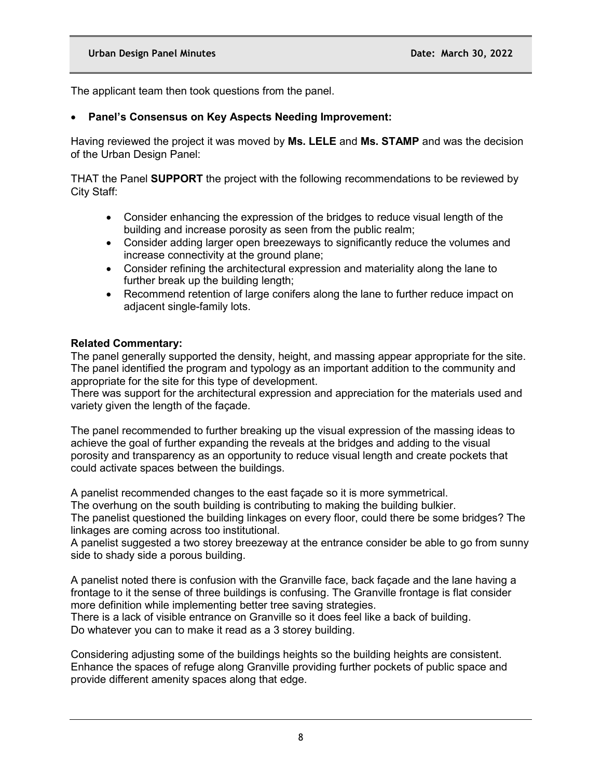The applicant team then took questions from the panel.

## • **Panel's Consensus on Key Aspects Needing Improvement:**

Having reviewed the project it was moved by **Ms. LELE** and **Ms. STAMP** and was the decision of the Urban Design Panel:

THAT the Panel **SUPPORT** the project with the following recommendations to be reviewed by City Staff:

- Consider enhancing the expression of the bridges to reduce visual length of the building and increase porosity as seen from the public realm;
- Consider adding larger open breezeways to significantly reduce the volumes and increase connectivity at the ground plane;
- Consider refining the architectural expression and materiality along the lane to further break up the building length;
- Recommend retention of large conifers along the lane to further reduce impact on adjacent single-family lots.

#### **Related Commentary:**

The panel generally supported the density, height, and massing appear appropriate for the site. The panel identified the program and typology as an important addition to the community and appropriate for the site for this type of development.

There was support for the architectural expression and appreciation for the materials used and variety given the length of the façade.

The panel recommended to further breaking up the visual expression of the massing ideas to achieve the goal of further expanding the reveals at the bridges and adding to the visual porosity and transparency as an opportunity to reduce visual length and create pockets that could activate spaces between the buildings.

A panelist recommended changes to the east façade so it is more symmetrical.

The overhung on the south building is contributing to making the building bulkier.

The panelist questioned the building linkages on every floor, could there be some bridges? The linkages are coming across too institutional.

A panelist suggested a two storey breezeway at the entrance consider be able to go from sunny side to shady side a porous building.

A panelist noted there is confusion with the Granville face, back façade and the lane having a frontage to it the sense of three buildings is confusing. The Granville frontage is flat consider more definition while implementing better tree saving strategies.

There is a lack of visible entrance on Granville so it does feel like a back of building. Do whatever you can to make it read as a 3 storey building.

Considering adjusting some of the buildings heights so the building heights are consistent. Enhance the spaces of refuge along Granville providing further pockets of public space and provide different amenity spaces along that edge.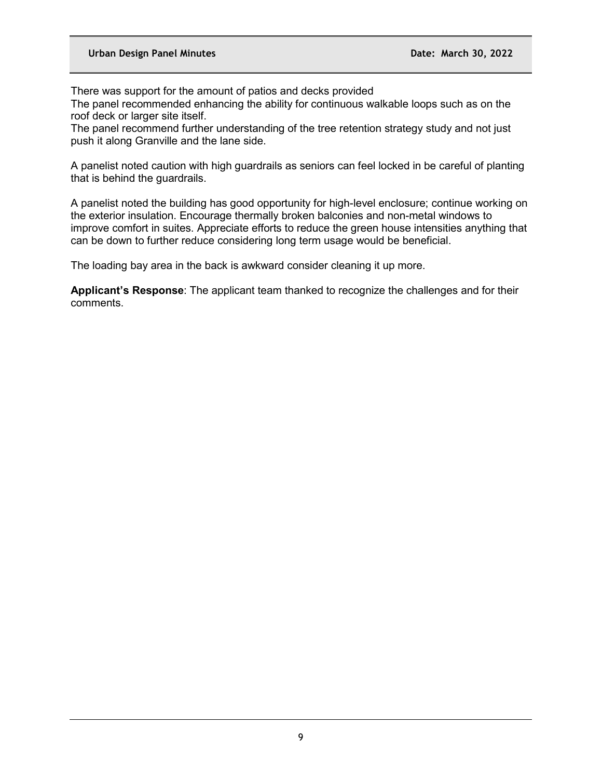There was support for the amount of patios and decks provided

The panel recommended enhancing the ability for continuous walkable loops such as on the roof deck or larger site itself.

The panel recommend further understanding of the tree retention strategy study and not just push it along Granville and the lane side.

A panelist noted caution with high guardrails as seniors can feel locked in be careful of planting that is behind the guardrails.

A panelist noted the building has good opportunity for high-level enclosure; continue working on the exterior insulation. Encourage thermally broken balconies and non-metal windows to improve comfort in suites. Appreciate efforts to reduce the green house intensities anything that can be down to further reduce considering long term usage would be beneficial.

The loading bay area in the back is awkward consider cleaning it up more.

**Applicant's Response**: The applicant team thanked to recognize the challenges and for their comments.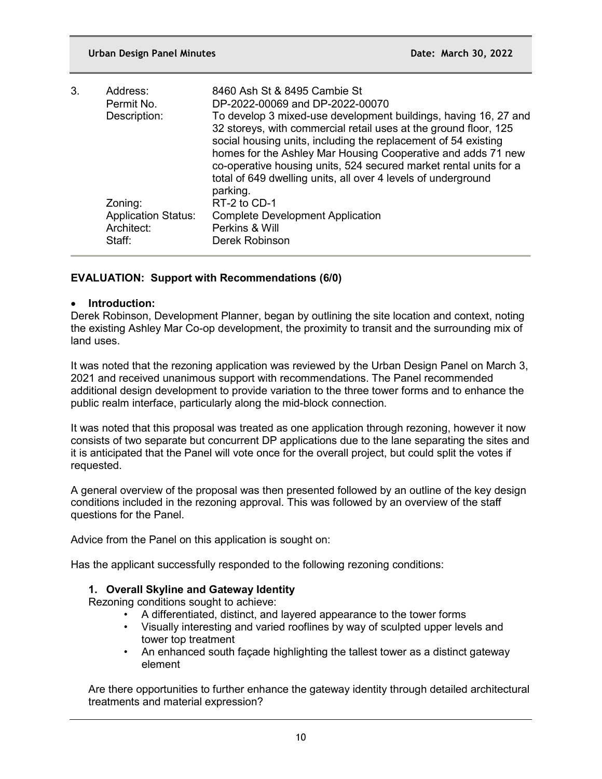| 3. | Address:<br>Permit No.                                        | 8460 Ash St & 8495 Cambie St<br>DP-2022-00069 and DP-2022-00070                                                                                                                                                                                                                                                                                                                                                         |
|----|---------------------------------------------------------------|-------------------------------------------------------------------------------------------------------------------------------------------------------------------------------------------------------------------------------------------------------------------------------------------------------------------------------------------------------------------------------------------------------------------------|
|    | Description:                                                  | To develop 3 mixed-use development buildings, having 16, 27 and<br>32 storeys, with commercial retail uses at the ground floor, 125<br>social housing units, including the replacement of 54 existing<br>homes for the Ashley Mar Housing Cooperative and adds 71 new<br>co-operative housing units, 524 secured market rental units for a<br>total of 649 dwelling units, all over 4 levels of underground<br>parking. |
|    | Zoning:<br><b>Application Status:</b><br>Architect:<br>Staff: | RT-2 to CD-1<br><b>Complete Development Application</b><br>Perkins & Will<br>Derek Robinson                                                                                                                                                                                                                                                                                                                             |

# **EVALUATION: Support with Recommendations (6/0)**

## • **Introduction:**

Derek Robinson, Development Planner, began by outlining the site location and context, noting the existing Ashley Mar Co-op development, the proximity to transit and the surrounding mix of land uses.

It was noted that the rezoning application was reviewed by the Urban Design Panel on March 3, 2021 and received unanimous support with recommendations. The Panel recommended additional design development to provide variation to the three tower forms and to enhance the public realm interface, particularly along the mid-block connection.

It was noted that this proposal was treated as one application through rezoning, however it now consists of two separate but concurrent DP applications due to the lane separating the sites and it is anticipated that the Panel will vote once for the overall project, but could split the votes if requested.

A general overview of the proposal was then presented followed by an outline of the key design conditions included in the rezoning approval. This was followed by an overview of the staff questions for the Panel.

Advice from the Panel on this application is sought on:

Has the applicant successfully responded to the following rezoning conditions:

# **1. Overall Skyline and Gateway Identity**

Rezoning conditions sought to achieve:

- A differentiated, distinct, and layered appearance to the tower forms
- Visually interesting and varied rooflines by way of sculpted upper levels and tower top treatment
- An enhanced south façade highlighting the tallest tower as a distinct gateway element

Are there opportunities to further enhance the gateway identity through detailed architectural treatments and material expression?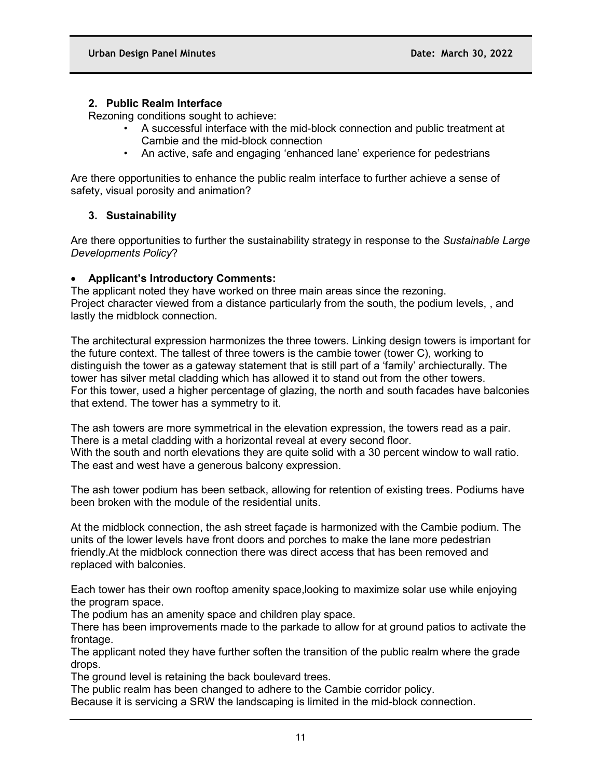## **2. Public Realm Interface**

Rezoning conditions sought to achieve:

- A successful interface with the mid-block connection and public treatment at Cambie and the mid-block connection
- An active, safe and engaging 'enhanced lane' experience for pedestrians

Are there opportunities to enhance the public realm interface to further achieve a sense of safety, visual porosity and animation?

# **3. Sustainability**

Are there opportunities to further the sustainability strategy in response to the *Sustainable Large Developments Policy*?

## • **Applicant's Introductory Comments:**

The applicant noted they have worked on three main areas since the rezoning. Project character viewed from a distance particularly from the south, the podium levels, , and lastly the midblock connection.

The architectural expression harmonizes the three towers. Linking design towers is important for the future context. The tallest of three towers is the cambie tower (tower C), working to distinguish the tower as a gateway statement that is still part of a 'family' archiecturally. The tower has silver metal cladding which has allowed it to stand out from the other towers. For this tower, used a higher percentage of glazing, the north and south facades have balconies that extend. The tower has a symmetry to it.

The ash towers are more symmetrical in the elevation expression, the towers read as a pair. There is a metal cladding with a horizontal reveal at every second floor. With the south and north elevations they are quite solid with a 30 percent window to wall ratio. The east and west have a generous balcony expression.

The ash tower podium has been setback, allowing for retention of existing trees. Podiums have been broken with the module of the residential units.

At the midblock connection, the ash street façade is harmonized with the Cambie podium. The units of the lower levels have front doors and porches to make the lane more pedestrian friendly.At the midblock connection there was direct access that has been removed and replaced with balconies.

Each tower has their own rooftop amenity space,looking to maximize solar use while enjoying the program space.

The podium has an amenity space and children play space.

There has been improvements made to the parkade to allow for at ground patios to activate the frontage.

The applicant noted they have further soften the transition of the public realm where the grade drops.

The ground level is retaining the back boulevard trees.

The public realm has been changed to adhere to the Cambie corridor policy.

Because it is servicing a SRW the landscaping is limited in the mid-block connection.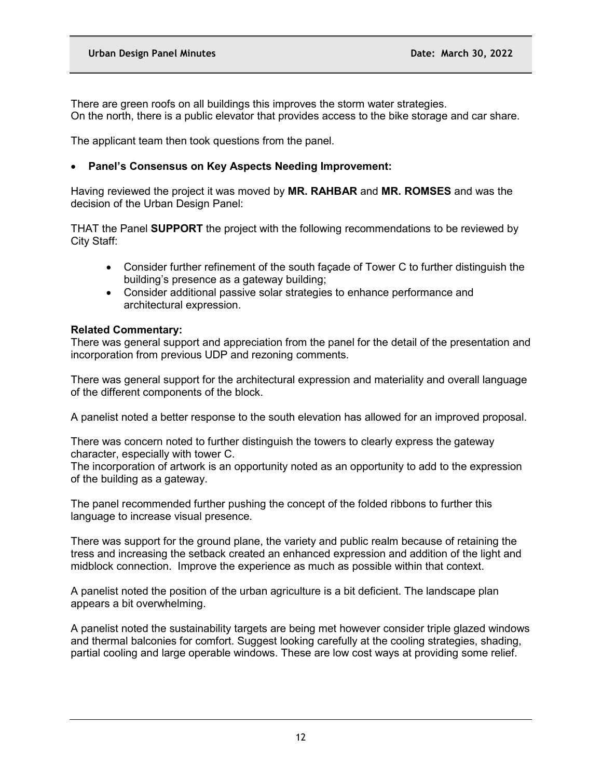There are green roofs on all buildings this improves the storm water strategies. On the north, there is a public elevator that provides access to the bike storage and car share.

The applicant team then took questions from the panel.

# • **Panel's Consensus on Key Aspects Needing Improvement:**

Having reviewed the project it was moved by **MR. RAHBAR** and **MR. ROMSES** and was the decision of the Urban Design Panel:

THAT the Panel **SUPPORT** the project with the following recommendations to be reviewed by City Staff:

- Consider further refinement of the south façade of Tower C to further distinguish the building's presence as a gateway building;
- Consider additional passive solar strategies to enhance performance and architectural expression.

## **Related Commentary:**

There was general support and appreciation from the panel for the detail of the presentation and incorporation from previous UDP and rezoning comments.

There was general support for the architectural expression and materiality and overall language of the different components of the block.

A panelist noted a better response to the south elevation has allowed for an improved proposal.

There was concern noted to further distinguish the towers to clearly express the gateway character, especially with tower C.

The incorporation of artwork is an opportunity noted as an opportunity to add to the expression of the building as a gateway.

The panel recommended further pushing the concept of the folded ribbons to further this language to increase visual presence.

There was support for the ground plane, the variety and public realm because of retaining the tress and increasing the setback created an enhanced expression and addition of the light and midblock connection. Improve the experience as much as possible within that context.

A panelist noted the position of the urban agriculture is a bit deficient. The landscape plan appears a bit overwhelming.

A panelist noted the sustainability targets are being met however consider triple glazed windows and thermal balconies for comfort. Suggest looking carefully at the cooling strategies, shading, partial cooling and large operable windows. These are low cost ways at providing some relief.